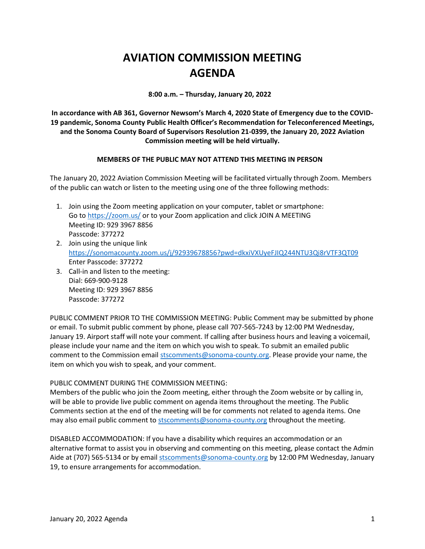## **AVIATION COMMISSION MEETING AGENDA**

**8:00 a.m. – Thursday, January 20, 2022**

**In accordance with AB 361, Governor Newsom's March 4, 2020 State of Emergency due to the COVID-19 pandemic, Sonoma County Public Health Officer's Recommendation for Teleconferenced Meetings, and the Sonoma County Board of Supervisors Resolution 21-0399, the January 20, 2022 Aviation Commission meeting will be held virtually.**

## **MEMBERS OF THE PUBLIC MAY NOT ATTEND THIS MEETING IN PERSON**

The January 20, 2022 Aviation Commission Meeting will be facilitated virtually through Zoom. Members of the public can watch or listen to the meeting using one of the three following methods:

- 1. Join using the Zoom meeting application on your computer, tablet or smartphone: Go to<https://zoom.us/> or to your Zoom application and click JOIN A MEETING Meeting ID: 929 3967 8856 Passcode: 377272
- 2. Join using the unique link <https://sonomacounty.zoom.us/j/92939678856?pwd=dkxiVXUyeFJIQ244NTU3Qi8rVTF3QT09> Enter Passcode: 377272
- 3. Call-in and listen to the meeting: Dial: 669-900-9128 Meeting ID: 929 3967 8856 Passcode: 377272

PUBLIC COMMENT PRIOR TO THE COMMISSION MEETING: Public Comment may be submitted by phone or email. To submit public comment by phone, please call 707-565-7243 by 12:00 PM Wednesday, January 19. Airport staff will note your comment. If calling after business hours and leaving a voicemail, please include your name and the item on which you wish to speak. To submit an emailed public comment to the Commission email [stscomments@sonoma-county.org.](mailto:stscomments@sonoma-county.org) Please provide your name, the item on which you wish to speak, and your comment.

## PUBLIC COMMENT DURING THE COMMISSION MEETING:

Members of the public who join the Zoom meeting, either through the Zoom website or by calling in, will be able to provide live public comment on agenda items throughout the meeting. The Public Comments section at the end of the meeting will be for comments not related to agenda items. One may also email public comment to [stscomments@sonoma-county.org](mailto:stscomments@sonoma-county.org) throughout the meeting.

DISABLED ACCOMMODATION: If you have a disability which requires an accommodation or an alternative format to assist you in observing and commenting on this meeting, please contact the Admin Aide at (707) 565-5134 or by emai[l stscomments@sonoma-county.org](mailto:stscomments@sonoma-county.org) by 12:00 PM Wednesday, January 19, to ensure arrangements for accommodation.